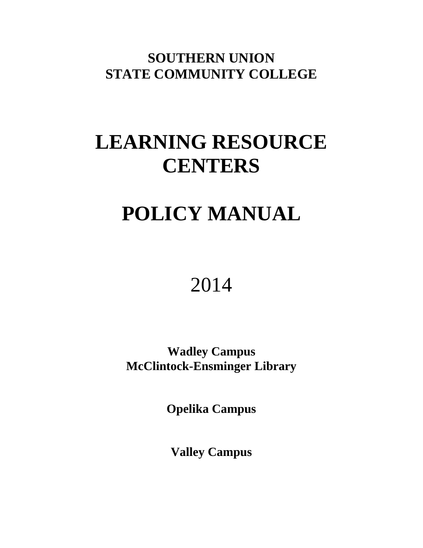**SOUTHERN UNION STATE COMMUNITY COLLEGE**

# **LEARNING RESOURCE CENTERS**

# **POLICY MANUAL**

# 2014

**Wadley Campus McClintock-Ensminger Library**

**Opelika Campus**

**Valley Campus**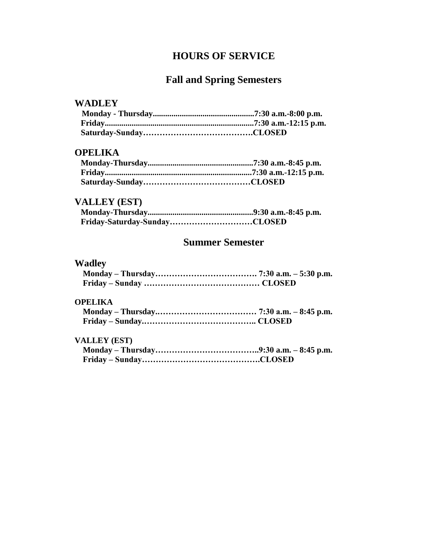# **HOURS OF SERVICE**

# **Fall and Spring Semesters**

### **WADLEY**

## **OPELIKA**

# **VALLEY (EST)**

# **Summer Semester**

## **Wadley**

## **OPELIKA**

## **VALLEY (EST)**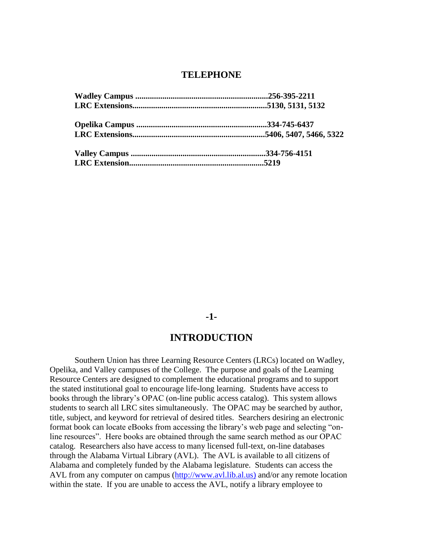#### **TELEPHONE**

#### **-1-**

## **INTRODUCTION**

Southern Union has three Learning Resource Centers (LRCs) located on Wadley, Opelika, and Valley campuses of the College. The purpose and goals of the Learning Resource Centers are designed to complement the educational programs and to support the stated institutional goal to encourage life-long learning. Students have access to books through the library's OPAC (on-line public access catalog). This system allows students to search all LRC sites simultaneously. The OPAC may be searched by author, title, subject, and keyword for retrieval of desired titles. Searchers desiring an electronic format book can locate eBooks from accessing the library's web page and selecting "online resources". Here books are obtained through the same search method as our OPAC catalog. Researchers also have access to many licensed full-text, on-line databases through the Alabama Virtual Library (AVL). The AVL is available to all citizens of Alabama and completely funded by the Alabama legislature. Students can access the AVL from any computer on campus (http://www.avl.lib.al.us) and/or any remote location within the state. If you are unable to access the AVL, notify a library employee to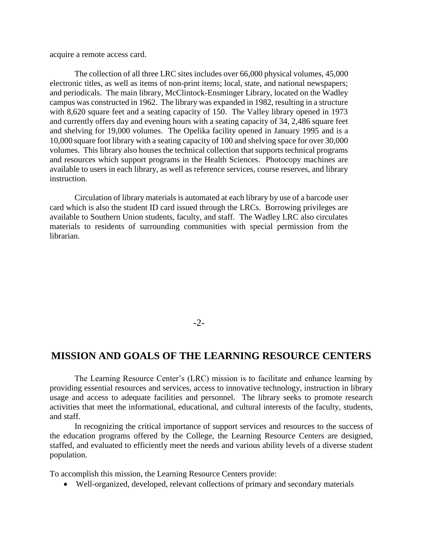acquire a remote access card.

The collection of all three LRC sites includes over 66,000 physical volumes, 45,000 electronic titles, as well as items of non-print items; local, state, and national newspapers; and periodicals. The main library, McClintock-Ensminger Library, located on the Wadley campus was constructed in 1962. The library was expanded in 1982, resulting in a structure with 8,620 square feet and a seating capacity of 150. The Valley library opened in 1973 and currently offers day and evening hours with a seating capacity of 34, 2,486 square feet and shelving for 19,000 volumes. The Opelika facility opened in January 1995 and is a 10,000 square foot library with a seating capacity of 100 and shelving space for over 30,000 volumes. This library also houses the technical collection that supports technical programs and resources which support programs in the Health Sciences. Photocopy machines are available to users in each library, as well as reference services, course reserves, and library instruction.

Circulation of library materials is automated at each library by use of a barcode user card which is also the student ID card issued through the LRCs. Borrowing privileges are available to Southern Union students, faculty, and staff. The Wadley LRC also circulates materials to residents of surrounding communities with special permission from the librarian.

 $-2$ 

## **MISSION AND GOALS OF THE LEARNING RESOURCE CENTERS**

The Learning Resource Center's (LRC) mission is to facilitate and enhance learning by providing essential resources and services, access to innovative technology, instruction in library usage and access to adequate facilities and personnel. The library seeks to promote research activities that meet the informational, educational, and cultural interests of the faculty, students, and staff.

In recognizing the critical importance of support services and resources to the success of the education programs offered by the College, the Learning Resource Centers are designed, staffed, and evaluated to efficiently meet the needs and various ability levels of a diverse student population.

To accomplish this mission, the Learning Resource Centers provide:

Well-organized, developed, relevant collections of primary and secondary materials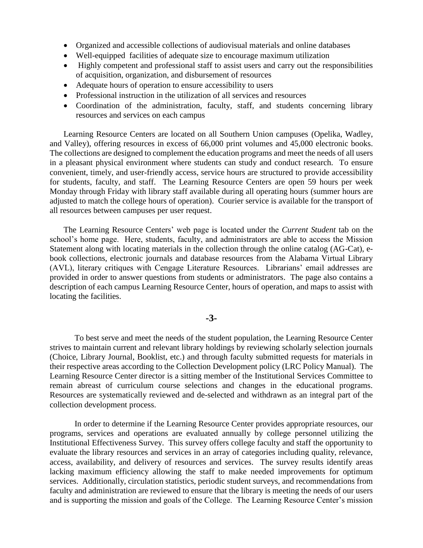- Organized and accessible collections of audiovisual materials and online databases
- Well-equipped facilities of adequate size to encourage maximum utilization
- Highly competent and professional staff to assist users and carry out the responsibilities of acquisition, organization, and disbursement of resources
- Adequate hours of operation to ensure accessibility to users
- Professional instruction in the utilization of all services and resources
- Coordination of the administration, faculty, staff, and students concerning library resources and services on each campus

Learning Resource Centers are located on all Southern Union campuses (Opelika, Wadley, and Valley), offering resources in excess of 66,000 print volumes and 45,000 electronic books. The collections are designed to complement the education programs and meet the needs of all users in a pleasant physical environment where students can study and conduct research. To ensure convenient, timely, and user-friendly access, service hours are structured to provide accessibility for students, faculty, and staff. The Learning Resource Centers are open 59 hours per week Monday through Friday with library staff available during all operating hours (summer hours are adjusted to match the college hours of operation). Courier service is available for the transport of all resources between campuses per user request.

The Learning Resource Centers' web page is located under the *Current Student* tab on the school's home page. Here, students, faculty, and administrators are able to access the Mission Statement along with locating materials in the collection through the online catalog (AG-Cat), ebook collections, electronic journals and database resources from the Alabama Virtual Library (AVL), literary critiques with Cengage Literature Resources. Librarians' email addresses are provided in order to answer questions from students or administrators. The page also contains a description of each campus Learning Resource Center, hours of operation, and maps to assist with locating the facilities.

#### **-3-**

To best serve and meet the needs of the student population, the Learning Resource Center strives to maintain current and relevant library holdings by reviewing scholarly selection journals (Choice, Library Journal, Booklist, etc.) and through faculty submitted requests for materials in their respective areas according to the Collection Development policy (LRC Policy Manual). The Learning Resource Center director is a sitting member of the Institutional Services Committee to remain abreast of curriculum course selections and changes in the educational programs. Resources are systematically reviewed and de-selected and withdrawn as an integral part of the collection development process.

In order to determine if the Learning Resource Center provides appropriate resources, our programs, services and operations are evaluated annually by college personnel utilizing the Institutional Effectiveness Survey. This survey offers college faculty and staff the opportunity to evaluate the library resources and services in an array of categories including quality, relevance, access, availability, and delivery of resources and services. The survey results identify areas lacking maximum efficiency allowing the staff to make needed improvements for optimum services. Additionally, circulation statistics, periodic student surveys, and recommendations from faculty and administration are reviewed to ensure that the library is meeting the needs of our users and is supporting the mission and goals of the College. The Learning Resource Center's mission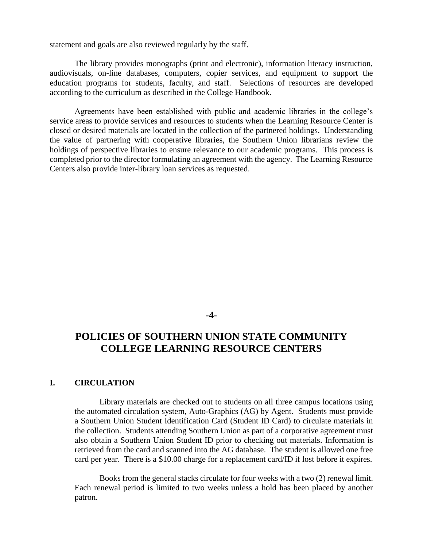statement and goals are also reviewed regularly by the staff.

The library provides monographs (print and electronic), information literacy instruction, audiovisuals, on-line databases, computers, copier services, and equipment to support the education programs for students, faculty, and staff. Selections of resources are developed according to the curriculum as described in the College Handbook.

Agreements have been established with public and academic libraries in the college's service areas to provide services and resources to students when the Learning Resource Center is closed or desired materials are located in the collection of the partnered holdings. Understanding the value of partnering with cooperative libraries, the Southern Union librarians review the holdings of perspective libraries to ensure relevance to our academic programs. This process is completed prior to the director formulating an agreement with the agency. The Learning Resource Centers also provide inter-library loan services as requested.

#### **-4-**

## **POLICIES OF SOUTHERN UNION STATE COMMUNITY COLLEGE LEARNING RESOURCE CENTERS**

#### **I. CIRCULATION**

Library materials are checked out to students on all three campus locations using the automated circulation system, Auto-Graphics (AG) by Agent. Students must provide a Southern Union Student Identification Card (Student ID Card) to circulate materials in the collection. Students attending Southern Union as part of a corporative agreement must also obtain a Southern Union Student ID prior to checking out materials. Information is retrieved from the card and scanned into the AG database. The student is allowed one free card per year. There is a \$10.00 charge for a replacement card/ID if lost before it expires.

Books from the general stacks circulate for four weeks with a two (2) renewal limit. Each renewal period is limited to two weeks unless a hold has been placed by another patron.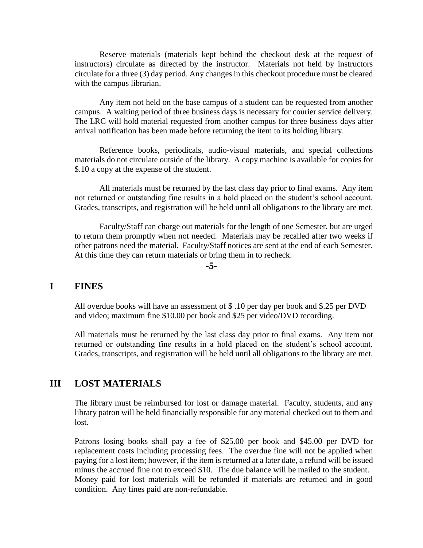Reserve materials (materials kept behind the checkout desk at the request of instructors) circulate as directed by the instructor. Materials not held by instructors circulate for a three (3) day period. Any changes in this checkout procedure must be cleared with the campus librarian.

Any item not held on the base campus of a student can be requested from another campus. A waiting period of three business days is necessary for courier service delivery. The LRC will hold material requested from another campus for three business days after arrival notification has been made before returning the item to its holding library.

Reference books, periodicals, audio-visual materials, and special collections materials do not circulate outside of the library. A copy machine is available for copies for \$.10 a copy at the expense of the student.

All materials must be returned by the last class day prior to final exams. Any item not returned or outstanding fine results in a hold placed on the student's school account. Grades, transcripts, and registration will be held until all obligations to the library are met.

Faculty/Staff can charge out materials for the length of one Semester, but are urged to return them promptly when not needed. Materials may be recalled after two weeks if other patrons need the material. Faculty/Staff notices are sent at the end of each Semester. At this time they can return materials or bring them in to recheck.

**-5-**

## **I FINES**

All overdue books will have an assessment of \$ .10 per day per book and \$.25 per DVD and video; maximum fine \$10.00 per book and \$25 per video/DVD recording.

All materials must be returned by the last class day prior to final exams. Any item not returned or outstanding fine results in a hold placed on the student's school account. Grades, transcripts, and registration will be held until all obligations to the library are met.

#### **III LOST MATERIALS**

The library must be reimbursed for lost or damage material. Faculty, students, and any library patron will be held financially responsible for any material checked out to them and lost.

Patrons losing books shall pay a fee of \$25.00 per book and \$45.00 per DVD for replacement costs including processing fees. The overdue fine will not be applied when paying for a lost item; however, if the item is returned at a later date, a refund will be issued minus the accrued fine not to exceed \$10. The due balance will be mailed to the student. Money paid for lost materials will be refunded if materials are returned and in good condition. Any fines paid are non-refundable.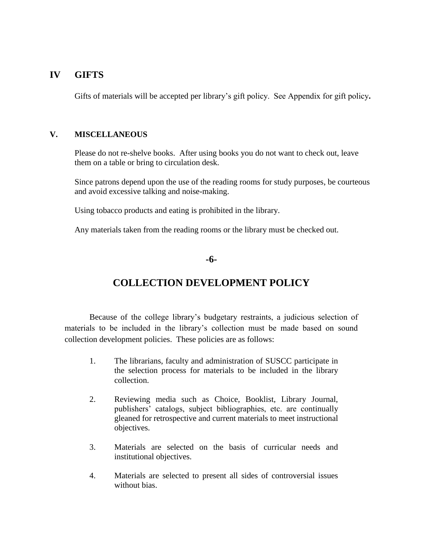### **IV GIFTS**

Gifts of materials will be accepted per library's gift policy. See Appendix for gift policy**.**

#### **V. MISCELLANEOUS**

Please do not re-shelve books. After using books you do not want to check out, leave them on a table or bring to circulation desk.

Since patrons depend upon the use of the reading rooms for study purposes, be courteous and avoid excessive talking and noise-making.

Using tobacco products and eating is prohibited in the library.

Any materials taken from the reading rooms or the library must be checked out.

#### **-6-**

# **COLLECTION DEVELOPMENT POLICY**

Because of the college library's budgetary restraints, a judicious selection of materials to be included in the library's collection must be made based on sound collection development policies. These policies are as follows:

- 1. The librarians, faculty and administration of SUSCC participate in the selection process for materials to be included in the library collection.
- 2. Reviewing media such as Choice, Booklist, Library Journal, publishers' catalogs, subject bibliographies, etc. are continually gleaned for retrospective and current materials to meet instructional objectives.
- 3. Materials are selected on the basis of curricular needs and institutional objectives.
- 4. Materials are selected to present all sides of controversial issues without bias.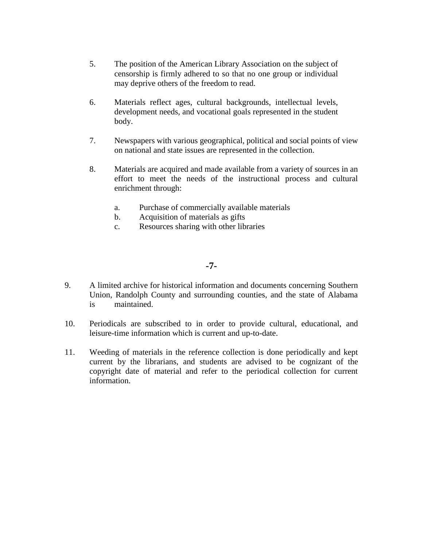- 5. The position of the American Library Association on the subject of censorship is firmly adhered to so that no one group or individual may deprive others of the freedom to read.
- 6. Materials reflect ages, cultural backgrounds, intellectual levels, development needs, and vocational goals represented in the student body.
- 7. Newspapers with various geographical, political and social points of view on national and state issues are represented in the collection.
- 8. Materials are acquired and made available from a variety of sources in an effort to meet the needs of the instructional process and cultural enrichment through:
	- a. Purchase of commercially available materials
	- b. Acquisition of materials as gifts
	- c. Resources sharing with other libraries

#### **-7-**

- 9. A limited archive for historical information and documents concerning Southern Union, Randolph County and surrounding counties, and the state of Alabama is maintained.
- 10. Periodicals are subscribed to in order to provide cultural, educational, and leisure-time information which is current and up-to-date.
- 11. Weeding of materials in the reference collection is done periodically and kept current by the librarians, and students are advised to be cognizant of the copyright date of material and refer to the periodical collection for current information.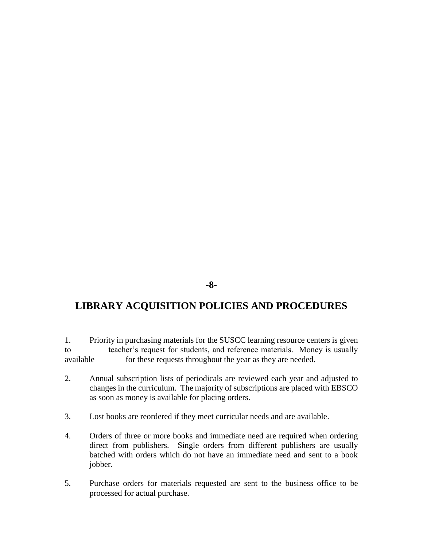#### **-8-**

# **LIBRARY ACQUISITION POLICIES AND PROCEDURES**

1. Priority in purchasing materials for the SUSCC learning resource centers is given to teacher's request for students, and reference materials. Money is usually available for these requests throughout the year as they are needed.

- 2. Annual subscription lists of periodicals are reviewed each year and adjusted to changes in the curriculum. The majority of subscriptions are placed with EBSCO as soon as money is available for placing orders.
- 3. Lost books are reordered if they meet curricular needs and are available.
- 4. Orders of three or more books and immediate need are required when ordering direct from publishers. Single orders from different publishers are usually batched with orders which do not have an immediate need and sent to a book jobber.
- 5. Purchase orders for materials requested are sent to the business office to be processed for actual purchase.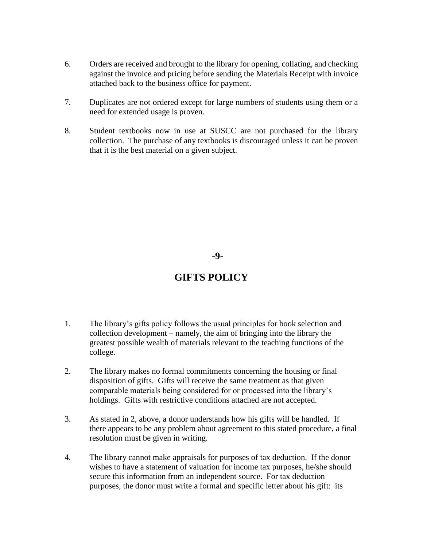- 6. Orders are received and brought to the library for opening, collating, and checking against the invoice and pricing before sending the Materials Receipt with invoice attached back to the business office for payment.
- 7. Duplicates are not ordered except for large numbers of students using them or a need for extended usage is proven.
- 8. Student textbooks now in use at SUSCC are not purchased for the library collection. The purchase of any textbooks is discouraged unless it can be proven that it is the best material on a given subject.

**-9-**

# **GIFTS POLICY**

- 1. The library's gifts policy follows the usual principles for book selection and collection development – namely, the aim of bringing into the library the greatest possible wealth of materials relevant to the teaching functions of the college.
- 2. The library makes no formal commitments concerning the housing or final disposition of gifts. Gifts will receive the same treatment as that given comparable materials being considered for or processed into the library's holdings. Gifts with restrictive conditions attached are not accepted.
- 3. As stated in 2, above, a donor understands how his gifts will be handled. If there appears to be any problem about agreement to this stated procedure, a final resolution must be given in writing.
- 4. The library cannot make appraisals for purposes of tax deduction. If the donor wishes to have a statement of valuation for income tax purposes, he/she should secure this information from an independent source. For tax deduction purposes, the donor must write a formal and specific letter about his gift: its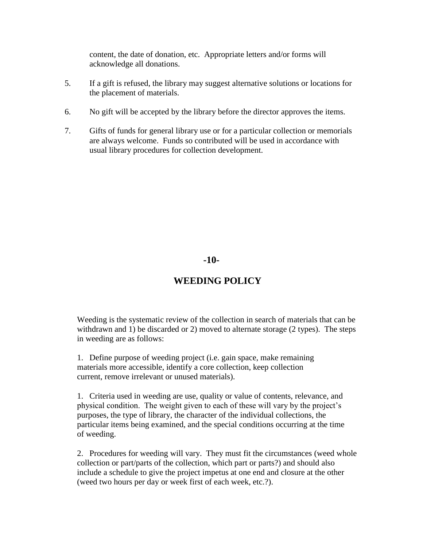content, the date of donation, etc. Appropriate letters and/or forms will acknowledge all donations.

- 5. If a gift is refused, the library may suggest alternative solutions or locations for the placement of materials.
- 6. No gift will be accepted by the library before the director approves the items.
- 7. Gifts of funds for general library use or for a particular collection or memorials are always welcome. Funds so contributed will be used in accordance with usual library procedures for collection development.

**-10-**

## **WEEDING POLICY**

Weeding is the systematic review of the collection in search of materials that can be withdrawn and 1) be discarded or 2) moved to alternate storage (2 types). The steps in weeding are as follows:

1. Define purpose of weeding project (i.e. gain space, make remaining materials more accessible, identify a core collection, keep collection current, remove irrelevant or unused materials).

1. Criteria used in weeding are use, quality or value of contents, relevance, and physical condition. The weight given to each of these will vary by the project's purposes, the type of library, the character of the individual collections, the particular items being examined, and the special conditions occurring at the time of weeding.

2. Procedures for weeding will vary. They must fit the circumstances (weed whole collection or part/parts of the collection, which part or parts?) and should also include a schedule to give the project impetus at one end and closure at the other (weed two hours per day or week first of each week, etc.?).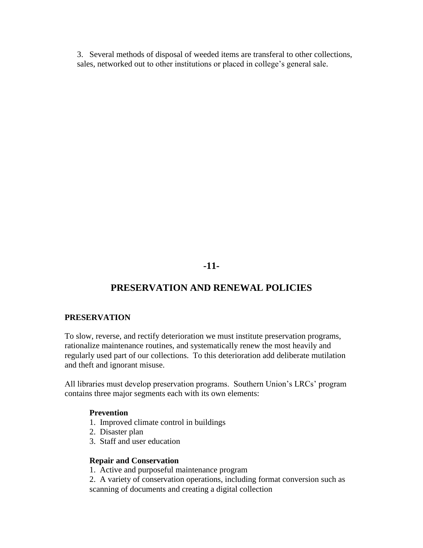3. Several methods of disposal of weeded items are transferal to other collections, sales, networked out to other institutions or placed in college's general sale.

**-11-**

# **PRESERVATION AND RENEWAL POLICIES**

#### **PRESERVATION**

To slow, reverse, and rectify deterioration we must institute preservation programs, rationalize maintenance routines, and systematically renew the most heavily and regularly used part of our collections. To this deterioration add deliberate mutilation and theft and ignorant misuse.

All libraries must develop preservation programs. Southern Union's LRCs' program contains three major segments each with its own elements:

#### **Prevention**

- 1. Improved climate control in buildings
- 2. Disaster plan
- 3. Staff and user education

#### **Repair and Conservation**

1. Active and purposeful maintenance program

2. A variety of conservation operations, including format conversion such as scanning of documents and creating a digital collection